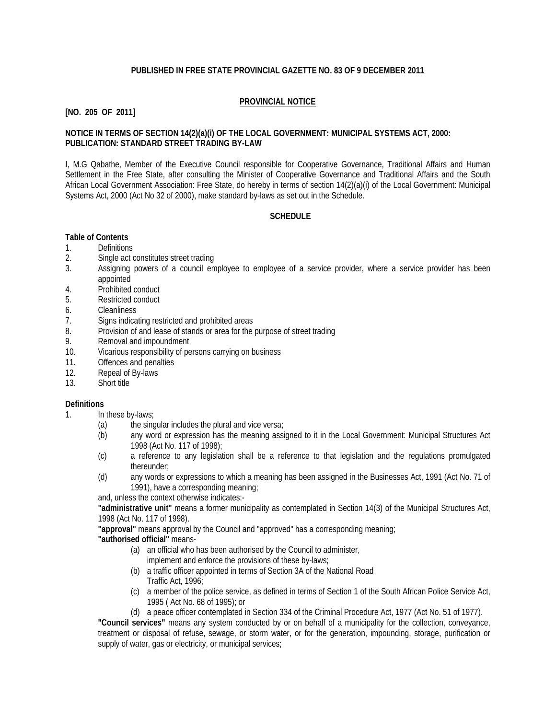## **PUBLISHED IN FREE STATE PROVINCIAL GAZETTE NO. 83 OF 9 DECEMBER 2011**

## **PROVINCIAL NOTICE**

## **[NO. 205 OF 2011]**

## **NOTICE IN TERMS OF SECTION 14(2)(a)(i) OF THE LOCAL GOVERNMENT: MUNICIPAL SYSTEMS ACT, 2000: PUBLICATION: STANDARD STREET TRADING BY-LAW**

I, M.G Qabathe, Member of the Executive Council responsible for Cooperative Governance, Traditional Affairs and Human Settlement in the Free State, after consulting the Minister of Cooperative Governance and Traditional Affairs and the South African Local Government Association: Free State, do hereby in terms of section 14(2)(a)(i) of the Local Government: Municipal Systems Act, 2000 (Act No 32 of 2000), make standard by-laws as set out in the Schedule.

## **SCHEDULE**

### **Table of Contents**

- 1. Definitions
- 2. Single act constitutes street trading
- 3. Assigning powers of a council employee to employee of a service provider, where a service provider has been appointed
- 4. Prohibited conduct
- 5. Restricted conduct
- 6. Cleanliness<br>7. Signs indica
- Signs indicating restricted and prohibited areas
- 8. Provision of and lease of stands or area for the purpose of street trading
- 9. Removal and impoundment
- 10. Vicarious responsibility of persons carrying on business
- 11. Offences and penalties
- 12. Repeal of By-laws
- 13. Short title

#### **Definitions**

- 1. In these by-laws;
	- (a) the singular includes the plural and vice versa;
	- (b) any word or expression has the meaning assigned to it in the Local Government: Municipal Structures Act 1998 (Act No. 117 of 1998);
	- (c) a reference to any legislation shall be a reference to that legislation and the regulations promulgated thereunder;
	- (d) any words or expressions to which a meaning has been assigned in the Businesses Act, 1991 (Act No. 71 of 1991), have a corresponding meaning;

and, unless the context otherwise indicates:-

**"administrative unit"** means a former municipality as contemplated in Section 14(3) of the Municipal Structures Act, 1998 (Act No. 117 of 1998).

**"approval"** means approval by the Council and "approved" has a corresponding meaning;

#### **"authorised official"** means-

- (a) an official who has been authorised by the Council to administer,
	- implement and enforce the provisions of these by-laws;
- (b) a traffic officer appointed in terms of Section 3A of the National Road Traffic Act, 1996;
- (c) a member of the police service, as defined in terms of Section 1 of the South African Police Service Act, 1995 ( Act No. 68 of 1995); or
- (d) a peace officer contemplated in Section 334 of the Criminal Procedure Act, 1977 (Act No. 51 of 1977).

**"Council services"** means any system conducted by or on behalf of a municipality for the collection, conveyance, treatment or disposal of refuse, sewage, or storm water, or for the generation, impounding, storage, purification or supply of water, gas or electricity, or municipal services;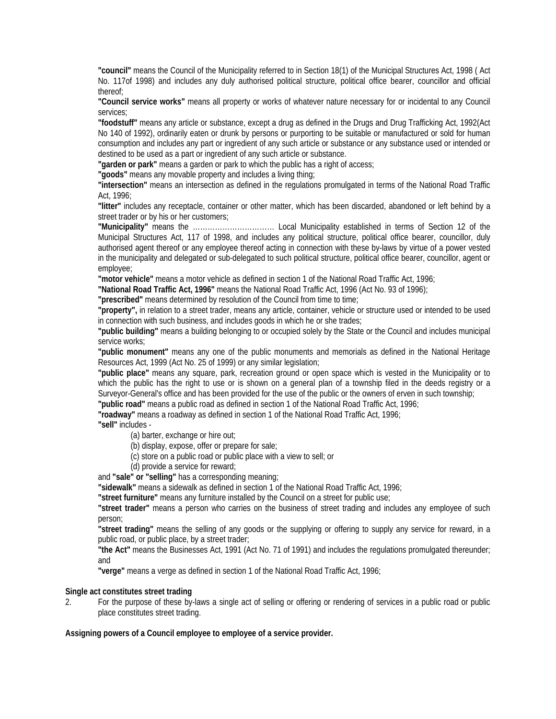**"council"** means the Council of the Municipality referred to in Section 18(1) of the Municipal Structures Act, 1998 ( Act No. 117of 1998) and includes any duly authorised political structure, political office bearer, councillor and official thereof;

**"Council service works"** means all property or works of whatever nature necessary for or incidental to any Council services;

**"foodstuff"** means any article or substance, except a drug as defined in the Drugs and Drug Trafficking Act, 1992(Act No 140 of 1992), ordinarily eaten or drunk by persons or purporting to be suitable or manufactured or sold for human consumption and includes any part or ingredient of any such article or substance or any substance used or intended or destined to be used as a part or ingredient of any such article or substance.

**"garden or park"** means a garden or park to which the public has a right of access;

**"goods"** means any movable property and includes a living thing;

**"intersection"** means an intersection as defined in the regulations promulgated in terms of the National Road Traffic Act, 1996;

**"litter"** includes any receptacle, container or other matter, which has been discarded, abandoned or left behind by a street trader or by his or her customers;

**"Municipality"** means the …………………………… Local Municipality established in terms of Section 12 of the Municipal Structures Act, 117 of 1998, and includes any political structure, political office bearer, councillor, duly authorised agent thereof or any employee thereof acting in connection with these by-laws by virtue of a power vested in the municipality and delegated or sub-delegated to such political structure, political office bearer, councillor, agent or employee;

**"motor vehicle"** means a motor vehicle as defined in section 1 of the National Road Traffic Act, 1996;

**"National Road Traffic Act, 1996"** means the National Road Traffic Act, 1996 (Act No. 93 of 1996);

"**prescribed**" means determined by resolution of the Council from time to time;

**"property",** in relation to a street trader, means any article, container, vehicle or structure used or intended to be used in connection with such business, and includes goods in which he or she trades;

**"public building"** means a building belonging to or occupied solely by the State or the Council and includes municipal service works;

**"public monument"** means any one of the public monuments and memorials as defined in the National Heritage Resources Act, 1999 (Act No. 25 of 1999) or any similar legislation;

**"public place"** means any square, park, recreation ground or open space which is vested in the Municipality or to which the public has the right to use or is shown on a general plan of a township filed in the deeds registry or a Surveyor-General's office and has been provided for the use of the public or the owners of erven in such township;

**"public road"** means a public road as defined in section 1 of the National Road Traffic Act, 1996;

**"roadway"** means a roadway as defined in section 1 of the National Road Traffic Act, 1996;

**"sell"** includes -

(a) barter, exchange or hire out;

(b) display, expose, offer or prepare for sale;

(c) store on a public road or public place with a view to sell; or

(d) provide a service for reward;

and **"sale" or "selling"** has a corresponding meaning;

**"sidewalk"** means a sidewalk as defined in section 1 of the National Road Traffic Act, 1996;

**"street furniture"** means any furniture installed by the Council on a street for public use;

**"street trader"** means a person who carries on the business of street trading and includes any employee of such person;

**"street trading"** means the selling of any goods or the supplying or offering to supply any service for reward, in a public road, or public place, by a street trader;

**"the Act"** means the Businesses Act, 1991 (Act No. 71 of 1991) and includes the regulations promulgated thereunder; and

**"verge"** means a verge as defined in section 1 of the National Road Traffic Act, 1996;

#### **Single act constitutes street trading**

2. For the purpose of these by-laws a single act of selling or offering or rendering of services in a public road or public place constitutes street trading.

**Assigning powers of a Council employee to employee of a service provider.**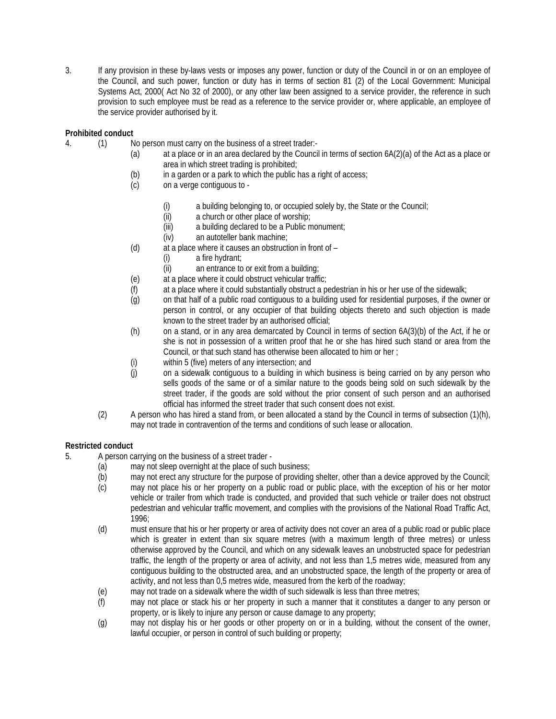3. If any provision in these by-laws vests or imposes any power, function or duty of the Council in or on an employee of the Council, and such power, function or duty has in terms of section 81 (2) of the Local Government: Municipal Systems Act, 2000( Act No 32 of 2000), or any other law been assigned to a service provider, the reference in such provision to such employee must be read as a reference to the service provider or, where applicable, an employee of the service provider authorised by it.

# **Prohibited conduct**

- 4. (1) No person must carry on the business of a street trader:-
	- (a) at a place or in an area declared by the Council in terms of section 6A(2)(a) of the Act as a place or area in which street trading is prohibited;
	- (b) in a garden or a park to which the public has a right of access;
	- (c) on a verge contiguous to
		- (i) a building belonging to, or occupied solely by, the State or the Council;<br>(ii)  $\alpha$  church or other place of worship:
		- a church or other place of worship;
		- (iii) a building declared to be a Public monument;
		- (iv) an autoteller bank machine;
	- (d) at a place where it causes an obstruction in front of
		- (i) a fire hydrant;
		- (ii) an entrance to or exit from a building;
	- (e) at a place where it could obstruct vehicular traffic;
	- (f) at a place where it could substantially obstruct a pedestrian in his or her use of the sidewalk;
	- (g) on that half of a public road contiguous to a building used for residential purposes, if the owner or person in control, or any occupier of that building objects thereto and such objection is made known to the street trader by an authorised official;
	- (h) on a stand, or in any area demarcated by Council in terms of section 6A(3)(b) of the Act, if he or she is not in possession of a written proof that he or she has hired such stand or area from the Council, or that such stand has otherwise been allocated to him or her ;
	- (i) within 5 (five) meters of any intersection; and
	- (j) on a sidewalk contiguous to a building in which business is being carried on by any person who sells goods of the same or of a similar nature to the goods being sold on such sidewalk by the street trader, if the goods are sold without the prior consent of such person and an authorised official has informed the street trader that such consent does not exist.
	- (2) A person who has hired a stand from, or been allocated a stand by the Council in terms of subsection (1)(h), may not trade in contravention of the terms and conditions of such lease or allocation.

## **Restricted conduct**

- 5. A person carrying on the business of a street trader
	- (a) may not sleep overnight at the place of such business;
	- (b) may not erect any structure for the purpose of providing shelter, other than a device approved by the Council;
	- (c) may not place his or her property on a public road or public place, with the exception of his or her motor vehicle or trailer from which trade is conducted, and provided that such vehicle or trailer does not obstruct pedestrian and vehicular traffic movement, and complies with the provisions of the National Road Traffic Act, 1996;
	- (d) must ensure that his or her property or area of activity does not cover an area of a public road or public place which is greater in extent than six square metres (with a maximum length of three metres) or unless otherwise approved by the Council, and which on any sidewalk leaves an unobstructed space for pedestrian traffic, the length of the property or area of activity, and not less than 1,5 metres wide, measured from any contiguous building to the obstructed area, and an unobstructed space, the length of the property or area of activity, and not less than 0,5 metres wide, measured from the kerb of the roadway;
	- (e) may not trade on a sidewalk where the width of such sidewalk is less than three metres;
	- (f) may not place or stack his or her property in such a manner that it constitutes a danger to any person or property, or is likely to injure any person or cause damage to any property;
	- (g) may not display his or her goods or other property on or in a building, without the consent of the owner, lawful occupier, or person in control of such building or property;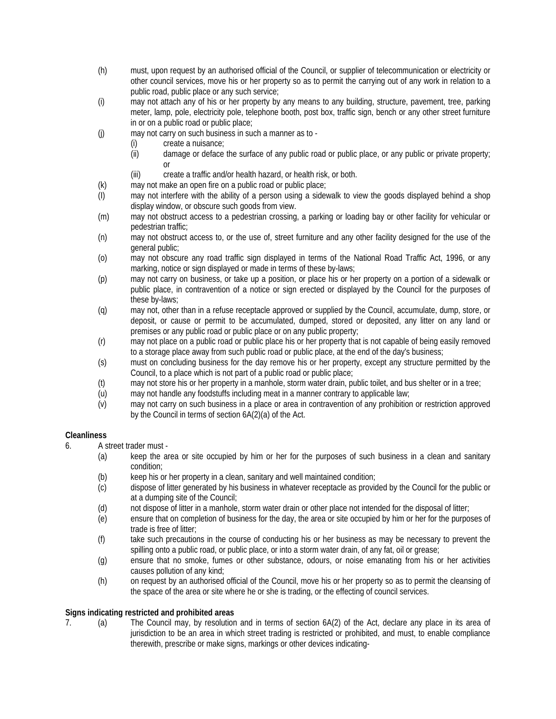- (h) must, upon request by an authorised official of the Council, or supplier of telecommunication or electricity or other council services, move his or her property so as to permit the carrying out of any work in relation to a public road, public place or any such service;
- (i) may not attach any of his or her property by any means to any building, structure, pavement, tree, parking meter, lamp, pole, electricity pole, telephone booth, post box, traffic sign, bench or any other street furniture in or on a public road or public place;
- (j) may not carry on such business in such a manner as to
	- (i) create a nuisance;
		- (ii) damage or deface the surface of any public road or public place, or any public or private property; or
		- (iii) create a traffic and/or health hazard, or health risk, or both.
- (k) may not make an open fire on a public road or public place;<br>(I) may not interfere with the ability of a person using a side
- may not interfere with the ability of a person using a sidewalk to view the goods displayed behind a shop display window, or obscure such goods from view.
- (m) may not obstruct access to a pedestrian crossing, a parking or loading bay or other facility for vehicular or pedestrian traffic;
- (n) may not obstruct access to, or the use of, street furniture and any other facility designed for the use of the general public;
- (o) may not obscure any road traffic sign displayed in terms of the National Road Traffic Act, 1996, or any marking, notice or sign displayed or made in terms of these by-laws;
- (p) may not carry on business, or take up a position, or place his or her property on a portion of a sidewalk or public place, in contravention of a notice or sign erected or displayed by the Council for the purposes of these by-laws;
- (q) may not, other than in a refuse receptacle approved or supplied by the Council, accumulate, dump, store, or deposit, or cause or permit to be accumulated, dumped, stored or deposited, any litter on any land or premises or any public road or public place or on any public property;
- (r) may not place on a public road or public place his or her property that is not capable of being easily removed to a storage place away from such public road or public place, at the end of the day's business;
- (s) must on concluding business for the day remove his or her property, except any structure permitted by the Council, to a place which is not part of a public road or public place;
- (t) may not store his or her property in a manhole, storm water drain, public toilet, and bus shelter or in a tree;
- (u) may not handle any foodstuffs including meat in a manner contrary to applicable law;
- (v) may not carry on such business in a place or area in contravention of any prohibition or restriction approved by the Council in terms of section 6A(2)(a) of the Act.

## **Cleanliness**

- 6. A street trader must
	- (a) keep the area or site occupied by him or her for the purposes of such business in a clean and sanitary condition;
	- (b) keep his or her property in a clean, sanitary and well maintained condition;
	- (c) dispose of litter generated by his business in whatever receptacle as provided by the Council for the public or at a dumping site of the Council;
	- (d) not dispose of litter in a manhole, storm water drain or other place not intended for the disposal of litter;
	- (e) ensure that on completion of business for the day, the area or site occupied by him or her for the purposes of trade is free of litter;
	- (f) take such precautions in the course of conducting his or her business as may be necessary to prevent the spilling onto a public road, or public place, or into a storm water drain, of any fat, oil or grease;
	- (g) ensure that no smoke, fumes or other substance, odours, or noise emanating from his or her activities causes pollution of any kind;
	- (h) on request by an authorised official of the Council, move his or her property so as to permit the cleansing of the space of the area or site where he or she is trading, or the effecting of council services.

## **Signs indicating restricted and prohibited areas**

7. (a) The Council may, by resolution and in terms of section 6A(2) of the Act, declare any place in its area of jurisdiction to be an area in which street trading is restricted or prohibited, and must, to enable compliance therewith, prescribe or make signs, markings or other devices indicating-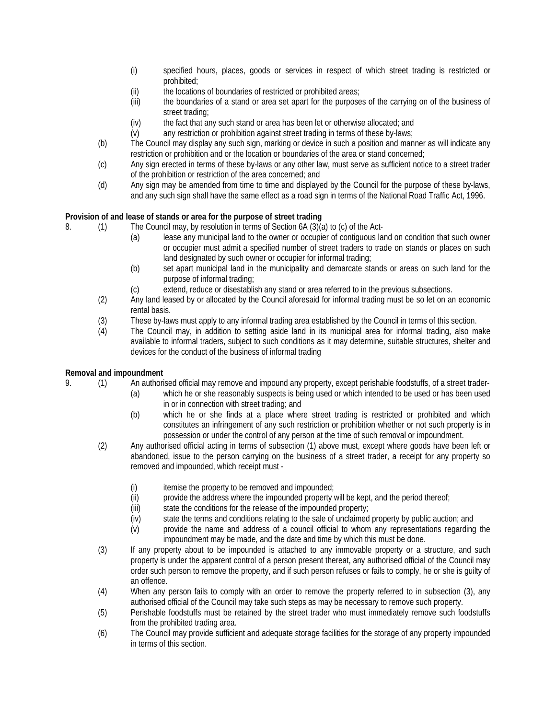- (i) specified hours, places, goods or services in respect of which street trading is restricted or prohibited;
- (ii) the locations of boundaries of restricted or prohibited areas;
- (iii) the boundaries of a stand or area set apart for the purposes of the carrying on of the business of street trading;
- (iv) the fact that any such stand or area has been let or otherwise allocated; and
- (v) any restriction or prohibition against street trading in terms of these by-laws;
- (b) The Council may display any such sign, marking or device in such a position and manner as will indicate any restriction or prohibition and or the location or boundaries of the area or stand concerned;
- (c) Any sign erected in terms of these by-laws or any other law, must serve as sufficient notice to a street trader of the prohibition or restriction of the area concerned; and
- (d) Any sign may be amended from time to time and displayed by the Council for the purpose of these by-laws, and any such sign shall have the same effect as a road sign in terms of the National Road Traffic Act, 1996.

# **Provision of and lease of stands or area for the purpose of street trading**

- 8. (1) The Council may, by resolution in terms of Section 6A (3)(a) to (c) of the Act-
	- (a) lease any municipal land to the owner or occupier of contiguous land on condition that such owner or occupier must admit a specified number of street traders to trade on stands or places on such land designated by such owner or occupier for informal trading;
	- (b) set apart municipal land in the municipality and demarcate stands or areas on such land for the purpose of informal trading;
	- (c) extend, reduce or disestablish any stand or area referred to in the previous subsections.
	- (2) Any land leased by or allocated by the Council aforesaid for informal trading must be so let on an economic rental basis.
	- (3) These by-laws must apply to any informal trading area established by the Council in terms of this section.
	- (4) The Council may, in addition to setting aside land in its municipal area for informal trading, also make available to informal traders, subject to such conditions as it may determine, suitable structures, shelter and devices for the conduct of the business of informal trading

## **Removal and impoundment**

- 9. (1) An authorised official may remove and impound any property, except perishable foodstuffs, of a street trader-
	- (a) which he or she reasonably suspects is being used or which intended to be used or has been used in or in connection with street trading; and
	- (b) which he or she finds at a place where street trading is restricted or prohibited and which constitutes an infringement of any such restriction or prohibition whether or not such property is in possession or under the control of any person at the time of such removal or impoundment.
	- (2) Any authorised official acting in terms of subsection (1) above must, except where goods have been left or abandoned, issue to the person carrying on the business of a street trader, a receipt for any property so removed and impounded, which receipt must -
		- $(i)$  itemise the property to be removed and impounded;
		- (ii) provide the address where the impounded property will be kept, and the period thereof;
		- (iii) state the conditions for the release of the impounded property;
		- (iv) state the terms and conditions relating to the sale of unclaimed property by public auction; and
		- (v) provide the name and address of a council official to whom any representations regarding the impoundment may be made, and the date and time by which this must be done.
	- (3) If any property about to be impounded is attached to any immovable property or a structure, and such property is under the apparent control of a person present thereat, any authorised official of the Council may order such person to remove the property, and if such person refuses or fails to comply, he or she is guilty of an offence.
	- (4) When any person fails to comply with an order to remove the property referred to in subsection (3), any authorised official of the Council may take such steps as may be necessary to remove such property.
	- (5) Perishable foodstuffs must be retained by the street trader who must immediately remove such foodstuffs from the prohibited trading area.
	- (6) The Council may provide sufficient and adequate storage facilities for the storage of any property impounded in terms of this section.